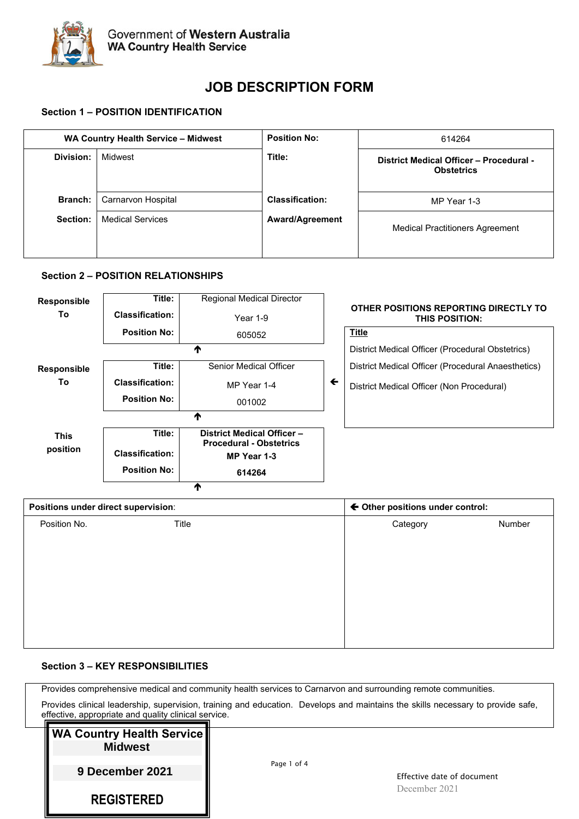

# **JOB DESCRIPTION FORM**

# **Section 1 – POSITION IDENTIFICATION**

|                | WA Country Health Service - Midwest |                        | 614264                                                       |  |
|----------------|-------------------------------------|------------------------|--------------------------------------------------------------|--|
| Division:      | Midwest                             | Title:                 | District Medical Officer - Procedural -<br><b>Obstetrics</b> |  |
| <b>Branch:</b> | Carnarvon Hospital                  | <b>Classification:</b> | MP Year 1-3                                                  |  |
| Section:       | <b>Medical Services</b>             | <b>Award/Agreement</b> | <b>Medical Practitioners Agreement</b>                       |  |

#### **Section 2 – POSITION RELATIONSHIPS**

| <b>Responsible</b> | Title:                 | <b>Regional Medical Director</b>                            |              |                                                                |
|--------------------|------------------------|-------------------------------------------------------------|--------------|----------------------------------------------------------------|
| Τo                 | <b>Classification:</b> | Year $1-9$                                                  |              | OTHER POSITIONS REPORTING DIRECTLY TO<br><b>THIS POSITION:</b> |
|                    | <b>Position No:</b>    | 605052                                                      |              | <b>Title</b>                                                   |
|                    |                        |                                                             |              | District Medical Officer (Procedural Obstetrics)               |
| <b>Responsible</b> | Title:                 | <b>Senior Medical Officer</b>                               |              | District Medical Officer (Procedural Anaesthetics)             |
| To                 | <b>Classification:</b> | MP Year 1-4                                                 | $\leftarrow$ | District Medical Officer (Non Procedural)                      |
|                    | <b>Position No:</b>    | 001002                                                      |              |                                                                |
|                    |                        | Λ                                                           |              |                                                                |
| This               | Title:                 | District Medical Officer-<br><b>Procedural - Obstetrics</b> |              |                                                                |
| position           | <b>Classification:</b> | MP Year 1-3                                                 |              |                                                                |
|                    | <b>Position No:</b>    | 614264                                                      |              |                                                                |
|                    |                        | Т                                                           |              |                                                                |

| Positions under direct supervision: |       | ← Other positions under control: |        |  |
|-------------------------------------|-------|----------------------------------|--------|--|
| Position No.                        | Title | Category                         | Number |  |
|                                     |       |                                  |        |  |
|                                     |       |                                  |        |  |
|                                     |       |                                  |        |  |
|                                     |       |                                  |        |  |
|                                     |       |                                  |        |  |
|                                     |       |                                  |        |  |
|                                     |       |                                  |        |  |

# **Section 3 – KEY RESPONSIBILITIES**

Provides comprehensive medical and community health services to Carnarvon and surrounding remote communities.

Provides clinical leadership, supervision, training and education. Develops and maintains the skills necessary to provide safe, effective, appropriate and quality clinical service.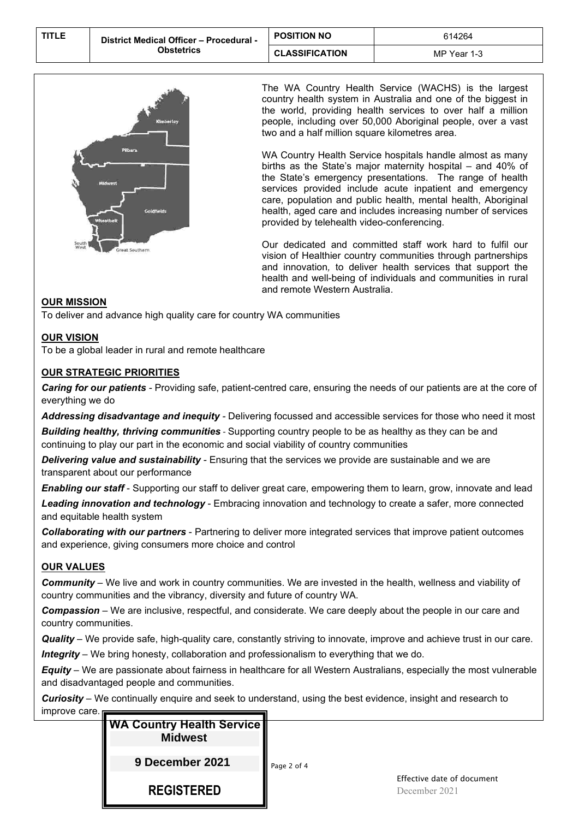| <b>TITLE</b> | District Medical Officer - Procedural - | <b>POSITION NO</b>    | 614264      |
|--------------|-----------------------------------------|-----------------------|-------------|
|              | Obstetrics                              | <b>CLASSIFICATION</b> | MP Year 1-3 |



The WA Country Health Service (WACHS) is the largest country health system in Australia and one of the biggest in the world, providing health services to over half a million people, including over 50,000 Aboriginal people, over a vast two and a half million square kilometres area.

WA Country Health Service hospitals handle almost as many births as the State's major maternity hospital – and 40% of the State's emergency presentations. The range of health services provided include acute inpatient and emergency care, population and public health, mental health, Aboriginal health, aged care and includes increasing number of services provided by telehealth video-conferencing.

Our dedicated and committed staff work hard to fulfil our vision of Healthier country communities through partnerships and innovation*,* to deliver health services that support the health and well-being of individuals and communities in rural and remote Western Australia.

# **OUR MISSION**

To deliver and advance high quality care for country WA communities

#### **OUR VISION**

To be a global leader in rural and remote healthcare

# **OUR STRATEGIC PRIORITIES**

*Caring for our patients -* Providing safe, patient-centred care, ensuring the needs of our patients are at the core of everything we do

*Addressing disadvantage and inequity -* Delivering focussed and accessible services for those who need it most

*Building healthy, thriving communities* - Supporting country people to be as healthy as they can be and continuing to play our part in the economic and social viability of country communities

*Delivering value and sustainability -* Ensuring that the services we provide are sustainable and we are transparent about our performance

*Enabling our staff* - Supporting our staff to deliver great care, empowering them to learn, grow, innovate and lead *Leading innovation and technology* - Embracing innovation and technology to create a safer, more connected and equitable health system

*Collaborating with our partners* - Partnering to deliver more integrated services that improve patient outcomes and experience, giving consumers more choice and control

# **OUR VALUES**

*Community* – We live and work in country communities. We are invested in the health, wellness and viability of country communities and the vibrancy, diversity and future of country WA.

*Compassion* – We are inclusive, respectful, and considerate. We care deeply about the people in our care and country communities.

*Quality* – We provide safe, high-quality care, constantly striving to innovate, improve and achieve trust in our care. *Integrity* – We bring honesty, collaboration and professionalism to everything that we do.

*Equity* – We are passionate about fairness in healthcare for all Western Australians, especially the most vulnerable and disadvantaged people and communities.

*Curiosity* – We continually enquire and seek to understand, using the best evidence, insight and research to improve car

| е.<br><b>WA Country Health Service</b><br><b>Midwest</b> |                                             |
|----------------------------------------------------------|---------------------------------------------|
| 9 December 2021                                          | Page 2 of 4                                 |
| <b>REGISTERED</b>                                        | Effective date of document<br>December 2021 |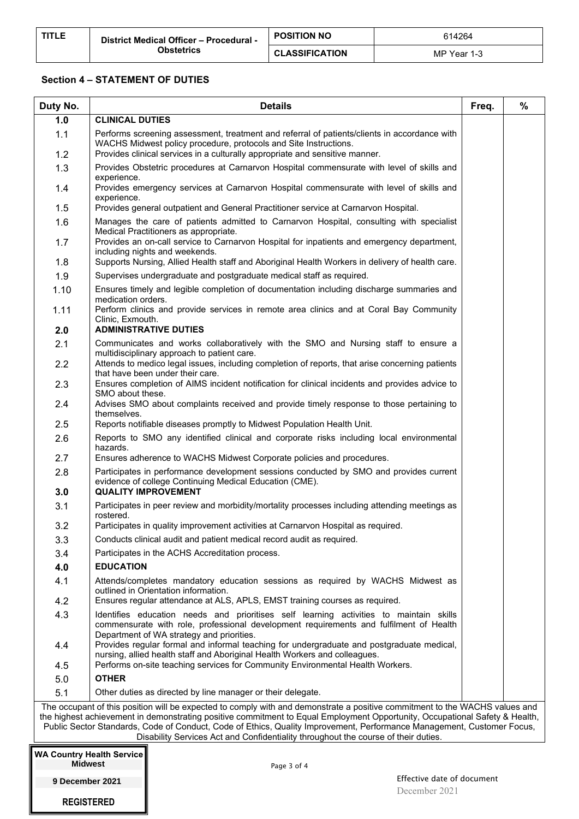#### **Section 4 – STATEMENT OF DUTIES**

| Duty No.                         |                                                                                                                                                                                                                                                                                                                                             | <b>Details</b>                                                                                                                                                                                                                                   | Freq. | $\%$ |
|----------------------------------|---------------------------------------------------------------------------------------------------------------------------------------------------------------------------------------------------------------------------------------------------------------------------------------------------------------------------------------------|--------------------------------------------------------------------------------------------------------------------------------------------------------------------------------------------------------------------------------------------------|-------|------|
| 1.0                              | <b>CLINICAL DUTIES</b>                                                                                                                                                                                                                                                                                                                      |                                                                                                                                                                                                                                                  |       |      |
| 1.1<br>1.2                       |                                                                                                                                                                                                                                                                                                                                             | Performs screening assessment, treatment and referral of patients/clients in accordance with<br>WACHS Midwest policy procedure, protocols and Site Instructions.<br>Provides clinical services in a culturally appropriate and sensitive manner. |       |      |
| 1.3                              |                                                                                                                                                                                                                                                                                                                                             | Provides Obstetric procedures at Carnarvon Hospital commensurate with level of skills and                                                                                                                                                        |       |      |
| 1.4                              | experience.                                                                                                                                                                                                                                                                                                                                 | Provides emergency services at Carnarvon Hospital commensurate with level of skills and                                                                                                                                                          |       |      |
| 1.5                              | experience.                                                                                                                                                                                                                                                                                                                                 | Provides general outpatient and General Practitioner service at Carnarvon Hospital.                                                                                                                                                              |       |      |
| 1.6                              |                                                                                                                                                                                                                                                                                                                                             | Manages the care of patients admitted to Carnarvon Hospital, consulting with specialist<br>Medical Practitioners as appropriate.                                                                                                                 |       |      |
| 1.7<br>1.8                       |                                                                                                                                                                                                                                                                                                                                             | Provides an on-call service to Carnarvon Hospital for inpatients and emergency department,<br>including nights and weekends.<br>Supports Nursing, Allied Health staff and Aboriginal Health Workers in delivery of health care.                  |       |      |
| 1.9                              |                                                                                                                                                                                                                                                                                                                                             | Supervises undergraduate and postgraduate medical staff as required.                                                                                                                                                                             |       |      |
| 1.10                             |                                                                                                                                                                                                                                                                                                                                             | Ensures timely and legible completion of documentation including discharge summaries and                                                                                                                                                         |       |      |
| 1.11                             | medication orders.                                                                                                                                                                                                                                                                                                                          | Perform clinics and provide services in remote area clinics and at Coral Bay Community                                                                                                                                                           |       |      |
| 2.0                              | Clinic, Exmouth.                                                                                                                                                                                                                                                                                                                            | <b>ADMINISTRATIVE DUTIES</b>                                                                                                                                                                                                                     |       |      |
| 2.1                              |                                                                                                                                                                                                                                                                                                                                             | Communicates and works collaboratively with the SMO and Nursing staff to ensure a                                                                                                                                                                |       |      |
| 2.2                              |                                                                                                                                                                                                                                                                                                                                             | multidisciplinary approach to patient care.<br>Attends to medico legal issues, including completion of reports, that arise concerning patients<br>that have been under their care.                                                               |       |      |
| 2.3                              |                                                                                                                                                                                                                                                                                                                                             | Ensures completion of AIMS incident notification for clinical incidents and provides advice to                                                                                                                                                   |       |      |
| 2.4                              | SMO about these.<br>themselves.                                                                                                                                                                                                                                                                                                             | Advises SMO about complaints received and provide timely response to those pertaining to                                                                                                                                                         |       |      |
| 2.5                              |                                                                                                                                                                                                                                                                                                                                             | Reports notifiable diseases promptly to Midwest Population Health Unit.                                                                                                                                                                          |       |      |
| 2.6                              | hazards.                                                                                                                                                                                                                                                                                                                                    | Reports to SMO any identified clinical and corporate risks including local environmental                                                                                                                                                         |       |      |
| 2.7                              |                                                                                                                                                                                                                                                                                                                                             | Ensures adherence to WACHS Midwest Corporate policies and procedures.                                                                                                                                                                            |       |      |
| 2.8<br>3.0                       |                                                                                                                                                                                                                                                                                                                                             | Participates in performance development sessions conducted by SMO and provides current<br>evidence of college Continuing Medical Education (CME).<br><b>QUALITY IMPROVEMENT</b>                                                                  |       |      |
| 3.1                              |                                                                                                                                                                                                                                                                                                                                             | Participates in peer review and morbidity/mortality processes including attending meetings as                                                                                                                                                    |       |      |
|                                  | rostered.                                                                                                                                                                                                                                                                                                                                   |                                                                                                                                                                                                                                                  |       |      |
| 3.2                              |                                                                                                                                                                                                                                                                                                                                             | Participates in quality improvement activities at Carnarvon Hospital as required.                                                                                                                                                                |       |      |
| 3.3                              |                                                                                                                                                                                                                                                                                                                                             | Conducts clinical audit and patient medical record audit as required.                                                                                                                                                                            |       |      |
| 3.4                              | <b>EDUCATION</b>                                                                                                                                                                                                                                                                                                                            | Participates in the ACHS Accreditation process.                                                                                                                                                                                                  |       |      |
| 4.0<br>4.1                       |                                                                                                                                                                                                                                                                                                                                             | Attends/completes mandatory education sessions as required by WACHS Midwest as                                                                                                                                                                   |       |      |
| 4.2                              |                                                                                                                                                                                                                                                                                                                                             | outlined in Orientation information.<br>Ensures regular attendance at ALS, APLS, EMST training courses as required.                                                                                                                              |       |      |
| 4.3                              |                                                                                                                                                                                                                                                                                                                                             | Identifies education needs and prioritises self learning activities to maintain skills                                                                                                                                                           |       |      |
|                                  |                                                                                                                                                                                                                                                                                                                                             | commensurate with role, professional development requirements and fulfilment of Health<br>Department of WA strategy and priorities.                                                                                                              |       |      |
| 4.4                              | Provides regular formal and informal teaching for undergraduate and postgraduate medical,<br>nursing, allied health staff and Aboriginal Health Workers and colleagues.                                                                                                                                                                     |                                                                                                                                                                                                                                                  |       |      |
| 4.5<br>5.0                       | Performs on-site teaching services for Community Environmental Health Workers.<br><b>OTHER</b>                                                                                                                                                                                                                                              |                                                                                                                                                                                                                                                  |       |      |
| 5.1                              | Other duties as directed by line manager or their delegate.                                                                                                                                                                                                                                                                                 |                                                                                                                                                                                                                                                  |       |      |
|                                  |                                                                                                                                                                                                                                                                                                                                             | The occupant of this position will be expected to comply with and demonstrate a positive commitment to the WACHS values and                                                                                                                      |       |      |
|                                  | the highest achievement in demonstrating positive commitment to Equal Employment Opportunity, Occupational Safety & Health,<br>Public Sector Standards, Code of Conduct, Code of Ethics, Quality Improvement, Performance Management, Customer Focus,<br>Disability Services Act and Confidentiality throughout the course of their duties. |                                                                                                                                                                                                                                                  |       |      |
| <b>WA Country Health Service</b> |                                                                                                                                                                                                                                                                                                                                             |                                                                                                                                                                                                                                                  |       |      |
| <b>Midwest</b>                   |                                                                                                                                                                                                                                                                                                                                             | Page 3 of 4                                                                                                                                                                                                                                      |       |      |

**9 December 2021**